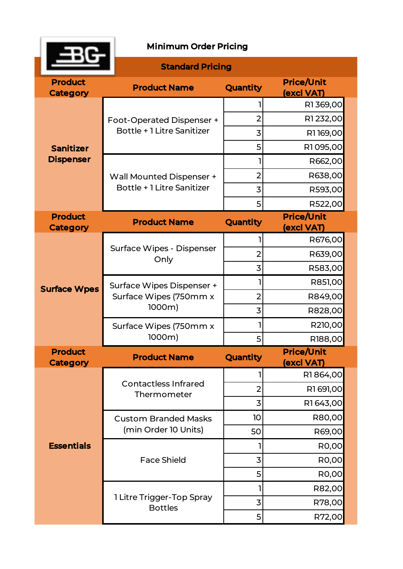

|                                      | <b>Standard Pricing</b>                                               |                |                                 |
|--------------------------------------|-----------------------------------------------------------------------|----------------|---------------------------------|
| <b>Product</b><br><b>Category</b>    | <b>Product Name</b>                                                   | Quantity       | <b>Price/Unit</b><br>(excl VAT) |
| <b>Sanitizer</b><br><b>Dispenser</b> | <b>Foot-Operated Dispenser +</b><br><b>Bottle + 1 Litre Sanitizer</b> |                | R1369,00                        |
|                                      |                                                                       | $\overline{2}$ | R1232,00                        |
|                                      |                                                                       | 3              | R1169,00                        |
|                                      |                                                                       | 5              | R1095,00                        |
|                                      | <b>Wall Mounted Dispenser +</b><br><b>Bottle + 1 Litre Sanitizer</b>  | 1              | R662,00                         |
|                                      |                                                                       | $\overline{2}$ | R638,00                         |
|                                      |                                                                       | 3              | R593,00                         |
|                                      |                                                                       | 5              | R522,00                         |
| <b>Product</b><br><b>Category</b>    | <b>Product Name</b>                                                   | Quantity       | <b>Price/Unit</b><br>(excl VAT) |
| <b>Surface Wpes</b>                  | Surface Wipes - Dispenser<br>Only                                     |                | R676,00                         |
|                                      |                                                                       | $\overline{2}$ | R639,00                         |
|                                      |                                                                       | 3              | R583,00                         |
|                                      | Surface Wipes Dispenser +<br>Surface Wipes (750mm x<br>1000m)         | 1              | R851,00                         |
|                                      |                                                                       | $\overline{2}$ | R849,00                         |
|                                      |                                                                       | 3              | R828,00                         |
|                                      | Surface Wipes (750mm x<br>1000m)                                      | 1              | R210,00                         |
|                                      |                                                                       | 5              | R188,00                         |
| <b>Product</b><br><b>Category</b>    | <b>Product Name</b>                                                   | Quantity       | <b>Price/Unit</b><br>(excl VAT) |
| <b>Essentials</b>                    | <b>Contactless Infrared</b><br>Thermometer                            |                | R1864,00                        |
|                                      |                                                                       | $\overline{2}$ | R1 691,00                       |
|                                      |                                                                       | 3              | R1643,00                        |
|                                      | <b>Custom Branded Masks</b><br>(min Order 10 Units)                   | 10             | R80,00                          |
|                                      |                                                                       | 50             | R69,00                          |
|                                      | <b>Face Shield</b>                                                    |                | R0,00                           |
|                                      |                                                                       | 3              | <b>R0,00</b>                    |
|                                      |                                                                       | 5              | R0,00                           |
|                                      | 1 Litre Trigger-Top Spray<br><b>Bottles</b>                           | 1              | R82,00                          |
|                                      |                                                                       | 3              | R78,00                          |
|                                      |                                                                       | 5              | R72,00                          |